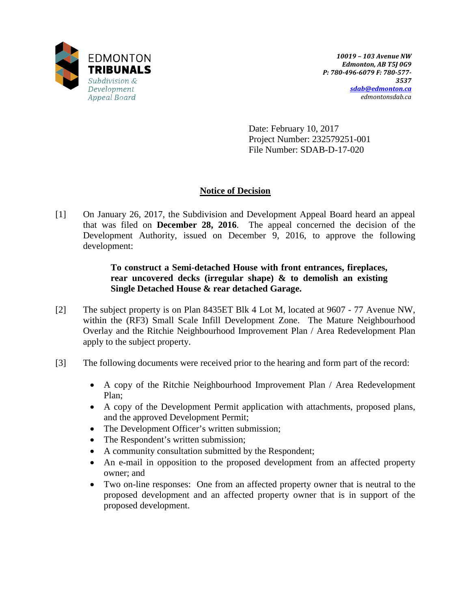

Date: February 10, 2017 Project Number: 232579251-001 File Number: SDAB-D-17-020

# **Notice of Decision**

[1] On January 26, 2017, the Subdivision and Development Appeal Board heard an appeal that was filed on **December 28, 2016**. The appeal concerned the decision of the Development Authority, issued on December 9, 2016, to approve the following development:

# **To construct a Semi-detached House with front entrances, fireplaces, rear uncovered decks (irregular shape) & to demolish an existing Single Detached House & rear detached Garage.**

- [2] The subject property is on Plan 8435ET Blk 4 Lot M, located at 9607 77 Avenue NW, within the (RF3) Small Scale Infill Development Zone. The Mature Neighbourhood Overlay and the Ritchie Neighbourhood Improvement Plan / Area Redevelopment Plan apply to the subject property.
- [3] The following documents were received prior to the hearing and form part of the record:
	- A copy of the Ritchie Neighbourhood Improvement Plan / Area Redevelopment Plan;
	- A copy of the Development Permit application with attachments, proposed plans, and the approved Development Permit;
	- The Development Officer's written submission;
	- The Respondent's written submission;
	- A community consultation submitted by the Respondent;
	- An e-mail in opposition to the proposed development from an affected property owner; and
	- Two on-line responses: One from an affected property owner that is neutral to the proposed development and an affected property owner that is in support of the proposed development.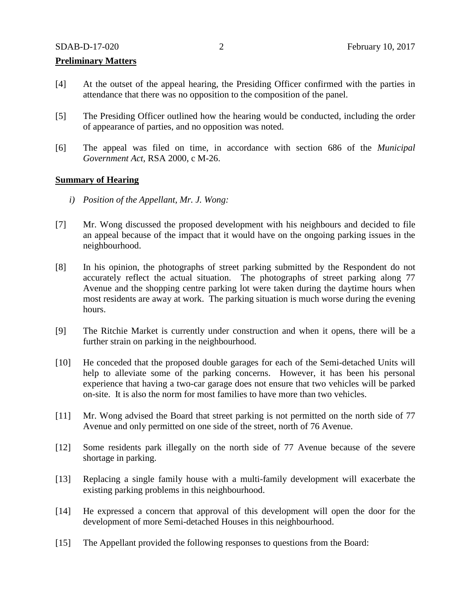## **Preliminary Matters**

- [4] At the outset of the appeal hearing, the Presiding Officer confirmed with the parties in attendance that there was no opposition to the composition of the panel.
- [5] The Presiding Officer outlined how the hearing would be conducted, including the order of appearance of parties, and no opposition was noted.
- [6] The appeal was filed on time, in accordance with section 686 of the *Municipal Government Act*, RSA 2000, c M-26.

### **Summary of Hearing**

- *i) Position of the Appellant, Mr. J. Wong:*
- [7] Mr. Wong discussed the proposed development with his neighbours and decided to file an appeal because of the impact that it would have on the ongoing parking issues in the neighbourhood.
- [8] In his opinion, the photographs of street parking submitted by the Respondent do not accurately reflect the actual situation. The photographs of street parking along 77 Avenue and the shopping centre parking lot were taken during the daytime hours when most residents are away at work. The parking situation is much worse during the evening hours.
- [9] The Ritchie Market is currently under construction and when it opens, there will be a further strain on parking in the neighbourhood.
- [10] He conceded that the proposed double garages for each of the Semi-detached Units will help to alleviate some of the parking concerns. However, it has been his personal experience that having a two-car garage does not ensure that two vehicles will be parked on-site. It is also the norm for most families to have more than two vehicles.
- [11] Mr. Wong advised the Board that street parking is not permitted on the north side of 77 Avenue and only permitted on one side of the street, north of 76 Avenue.
- [12] Some residents park illegally on the north side of 77 Avenue because of the severe shortage in parking.
- [13] Replacing a single family house with a multi-family development will exacerbate the existing parking problems in this neighbourhood.
- [14] He expressed a concern that approval of this development will open the door for the development of more Semi-detached Houses in this neighbourhood.
- [15] The Appellant provided the following responses to questions from the Board: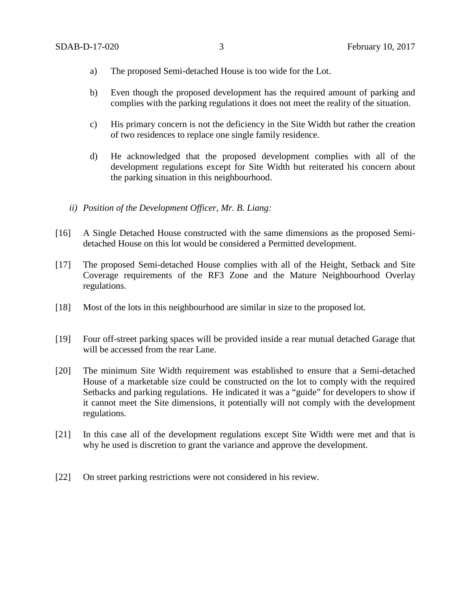- a) The proposed Semi-detached House is too wide for the Lot.
- b) Even though the proposed development has the required amount of parking and complies with the parking regulations it does not meet the reality of the situation.
- c) His primary concern is not the deficiency in the Site Width but rather the creation of two residences to replace one single family residence.
- d) He acknowledged that the proposed development complies with all of the development regulations except for Site Width but reiterated his concern about the parking situation in this neighbourhood.
- *ii) Position of the Development Officer, Mr. B. Liang:*
- [16] A Single Detached House constructed with the same dimensions as the proposed Semidetached House on this lot would be considered a Permitted development.
- [17] The proposed Semi-detached House complies with all of the Height, Setback and Site Coverage requirements of the RF3 Zone and the Mature Neighbourhood Overlay regulations.
- [18] Most of the lots in this neighbourhood are similar in size to the proposed lot.
- [19] Four off-street parking spaces will be provided inside a rear mutual detached Garage that will be accessed from the rear Lane.
- [20] The minimum Site Width requirement was established to ensure that a Semi-detached House of a marketable size could be constructed on the lot to comply with the required Setbacks and parking regulations. He indicated it was a "guide" for developers to show if it cannot meet the Site dimensions, it potentially will not comply with the development regulations.
- [21] In this case all of the development regulations except Site Width were met and that is why he used is discretion to grant the variance and approve the development.
- [22] On street parking restrictions were not considered in his review.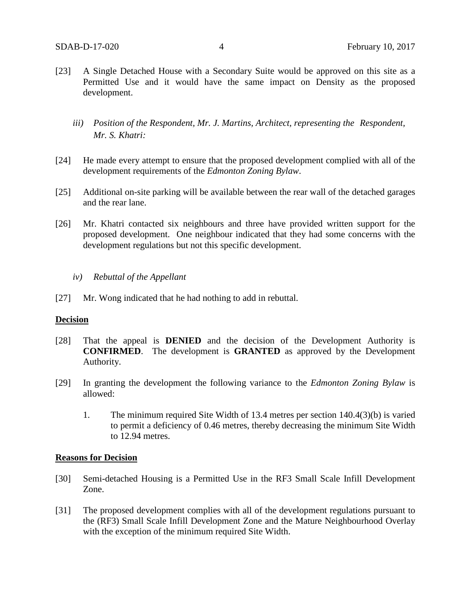- [23] A Single Detached House with a Secondary Suite would be approved on this site as a Permitted Use and it would have the same impact on Density as the proposed development.
	- *iii) Position of the Respondent, Mr. J. Martins, Architect, representing the Respondent, Mr. S. Khatri:*
- [24] He made every attempt to ensure that the proposed development complied with all of the development requirements of the *Edmonton Zoning Bylaw*.
- [25] Additional on-site parking will be available between the rear wall of the detached garages and the rear lane.
- [26] Mr. Khatri contacted six neighbours and three have provided written support for the proposed development. One neighbour indicated that they had some concerns with the development regulations but not this specific development.
	- *iv) Rebuttal of the Appellant*
- [27] Mr. Wong indicated that he had nothing to add in rebuttal.

## **Decision**

- [28] That the appeal is **DENIED** and the decision of the Development Authority is **CONFIRMED**. The development is **GRANTED** as approved by the Development Authority.
- [29] In granting the development the following variance to the *Edmonton Zoning Bylaw* is allowed:
	- 1. The minimum required Site Width of 13.4 metres per section 140.4(3)(b) is varied to permit a deficiency of 0.46 metres, thereby decreasing the minimum Site Width to 12.94 metres.

## **Reasons for Decision**

- [30] Semi-detached Housing is a Permitted Use in the RF3 Small Scale Infill Development Zone.
- [31] The proposed development complies with all of the development regulations pursuant to the (RF3) Small Scale Infill Development Zone and the Mature Neighbourhood Overlay with the exception of the minimum required Site Width.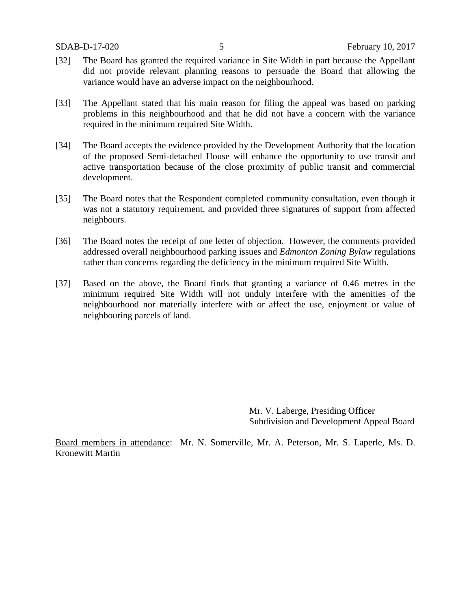- [32] The Board has granted the required variance in Site Width in part because the Appellant did not provide relevant planning reasons to persuade the Board that allowing the variance would have an adverse impact on the neighbourhood.
- [33] The Appellant stated that his main reason for filing the appeal was based on parking problems in this neighbourhood and that he did not have a concern with the variance required in the minimum required Site Width.
- [34] The Board accepts the evidence provided by the Development Authority that the location of the proposed Semi-detached House will enhance the opportunity to use transit and active transportation because of the close proximity of public transit and commercial development.
- [35] The Board notes that the Respondent completed community consultation, even though it was not a statutory requirement, and provided three signatures of support from affected neighbours.
- [36] The Board notes the receipt of one letter of objection. However, the comments provided addressed overall neighbourhood parking issues and *Edmonton Zoning Bylaw* regulations rather than concerns regarding the deficiency in the minimum required Site Width.
- [37] Based on the above, the Board finds that granting a variance of 0.46 metres in the minimum required Site Width will not unduly interfere with the amenities of the neighbourhood nor materially interfere with or affect the use, enjoyment or value of neighbouring parcels of land.

Mr. V. Laberge, Presiding Officer Subdivision and Development Appeal Board

Board members in attendance: Mr. N. Somerville, Mr. A. Peterson, Mr. S. Laperle, Ms. D. Kronewitt Martin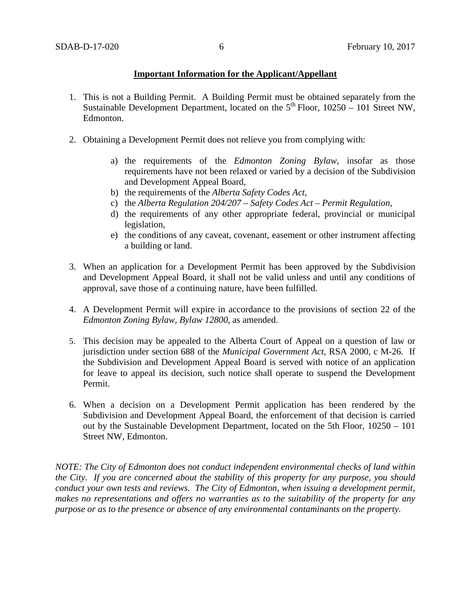# **Important Information for the Applicant/Appellant**

- 1. This is not a Building Permit. A Building Permit must be obtained separately from the Sustainable Development Department, located on the  $5<sup>th</sup>$  Floor, 10250 – 101 Street NW, Edmonton.
- 2. Obtaining a Development Permit does not relieve you from complying with:
	- a) the requirements of the *Edmonton Zoning Bylaw*, insofar as those requirements have not been relaxed or varied by a decision of the Subdivision and Development Appeal Board,
	- b) the requirements of the *Alberta Safety Codes Act*,
	- c) the *Alberta Regulation 204/207 – Safety Codes Act – Permit Regulation*,
	- d) the requirements of any other appropriate federal, provincial or municipal legislation,
	- e) the conditions of any caveat, covenant, easement or other instrument affecting a building or land.
- 3. When an application for a Development Permit has been approved by the Subdivision and Development Appeal Board, it shall not be valid unless and until any conditions of approval, save those of a continuing nature, have been fulfilled.
- 4. A Development Permit will expire in accordance to the provisions of section 22 of the *Edmonton Zoning Bylaw, Bylaw 12800*, as amended.
- 5. This decision may be appealed to the Alberta Court of Appeal on a question of law or jurisdiction under section 688 of the *Municipal Government Act*, RSA 2000, c M-26. If the Subdivision and Development Appeal Board is served with notice of an application for leave to appeal its decision, such notice shall operate to suspend the Development Permit.
- 6. When a decision on a Development Permit application has been rendered by the Subdivision and Development Appeal Board, the enforcement of that decision is carried out by the Sustainable Development Department, located on the 5th Floor, 10250 – 101 Street NW, Edmonton.

*NOTE: The City of Edmonton does not conduct independent environmental checks of land within the City. If you are concerned about the stability of this property for any purpose, you should conduct your own tests and reviews. The City of Edmonton, when issuing a development permit, makes no representations and offers no warranties as to the suitability of the property for any purpose or as to the presence or absence of any environmental contaminants on the property.*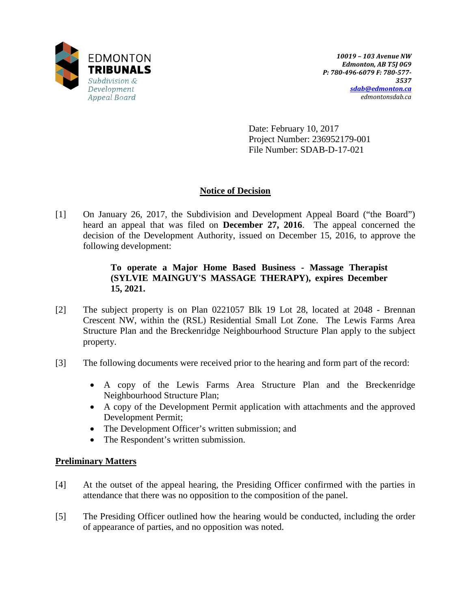

Date: February 10, 2017 Project Number: 236952179-001 File Number: SDAB-D-17-021

# **Notice of Decision**

[1] On January 26, 2017, the Subdivision and Development Appeal Board ("the Board") heard an appeal that was filed on **December 27, 2016**. The appeal concerned the decision of the Development Authority, issued on December 15, 2016, to approve the following development:

# **To operate a Major Home Based Business - Massage Therapist (SYLVIE MAINGUY'S MASSAGE THERAPY), expires December 15, 2021.**

- [2] The subject property is on Plan 0221057 Blk 19 Lot 28, located at 2048 Brennan Crescent NW, within the (RSL) Residential Small Lot Zone. The Lewis Farms Area Structure Plan and the Breckenridge Neighbourhood Structure Plan apply to the subject property.
- [3] The following documents were received prior to the hearing and form part of the record:
	- A copy of the Lewis Farms Area Structure Plan and the Breckenridge Neighbourhood Structure Plan;
	- A copy of the Development Permit application with attachments and the approved Development Permit;
	- The Development Officer's written submission; and
	- The Respondent's written submission.

# **Preliminary Matters**

- [4] At the outset of the appeal hearing, the Presiding Officer confirmed with the parties in attendance that there was no opposition to the composition of the panel.
- [5] The Presiding Officer outlined how the hearing would be conducted, including the order of appearance of parties, and no opposition was noted.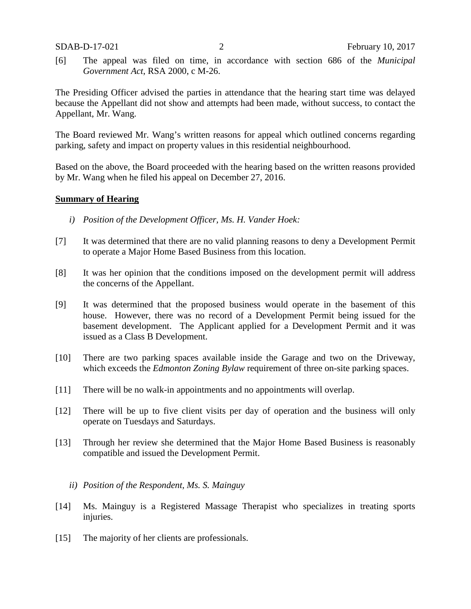[6] The appeal was filed on time, in accordance with section 686 of the *Municipal Government Act*, RSA 2000, c M-26.

The Presiding Officer advised the parties in attendance that the hearing start time was delayed because the Appellant did not show and attempts had been made, without success, to contact the Appellant, Mr. Wang.

The Board reviewed Mr. Wang's written reasons for appeal which outlined concerns regarding parking, safety and impact on property values in this residential neighbourhood.

Based on the above, the Board proceeded with the hearing based on the written reasons provided by Mr. Wang when he filed his appeal on December 27, 2016.

## **Summary of Hearing**

- *i) Position of the Development Officer, Ms. H. Vander Hoek:*
- [7] It was determined that there are no valid planning reasons to deny a Development Permit to operate a Major Home Based Business from this location.
- [8] It was her opinion that the conditions imposed on the development permit will address the concerns of the Appellant.
- [9] It was determined that the proposed business would operate in the basement of this house. However, there was no record of a Development Permit being issued for the basement development. The Applicant applied for a Development Permit and it was issued as a Class B Development.
- [10] There are two parking spaces available inside the Garage and two on the Driveway, which exceeds the *Edmonton Zoning Bylaw* requirement of three on-site parking spaces.
- [11] There will be no walk-in appointments and no appointments will overlap.
- [12] There will be up to five client visits per day of operation and the business will only operate on Tuesdays and Saturdays.
- [13] Through her review she determined that the Major Home Based Business is reasonably compatible and issued the Development Permit.
	- *ii) Position of the Respondent, Ms. S. Mainguy*
- [14] Ms. Mainguy is a Registered Massage Therapist who specializes in treating sports injuries.
- [15] The majority of her clients are professionals.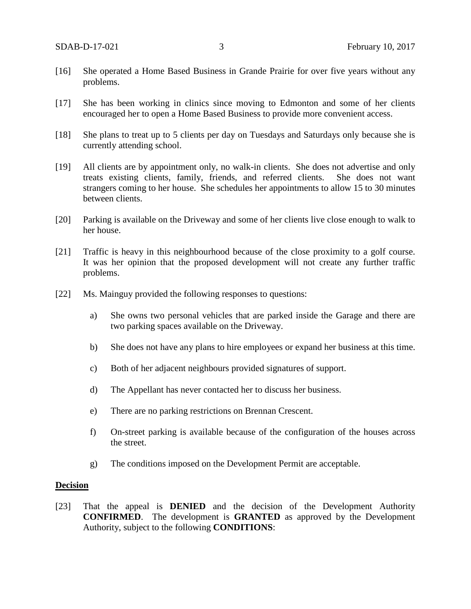- [16] She operated a Home Based Business in Grande Prairie for over five years without any problems.
- [17] She has been working in clinics since moving to Edmonton and some of her clients encouraged her to open a Home Based Business to provide more convenient access.
- [18] She plans to treat up to 5 clients per day on Tuesdays and Saturdays only because she is currently attending school.
- [19] All clients are by appointment only, no walk-in clients. She does not advertise and only treats existing clients, family, friends, and referred clients. She does not want strangers coming to her house. She schedules her appointments to allow 15 to 30 minutes between clients.
- [20] Parking is available on the Driveway and some of her clients live close enough to walk to her house.
- [21] Traffic is heavy in this neighbourhood because of the close proximity to a golf course. It was her opinion that the proposed development will not create any further traffic problems.
- [22] Ms. Mainguy provided the following responses to questions:
	- a) She owns two personal vehicles that are parked inside the Garage and there are two parking spaces available on the Driveway.
	- b) She does not have any plans to hire employees or expand her business at this time.
	- c) Both of her adjacent neighbours provided signatures of support.
	- d) The Appellant has never contacted her to discuss her business.
	- e) There are no parking restrictions on Brennan Crescent.
	- f) On-street parking is available because of the configuration of the houses across the street.
	- g) The conditions imposed on the Development Permit are acceptable.

#### **Decision**

[23] That the appeal is **DENIED** and the decision of the Development Authority **CONFIRMED**. The development is **GRANTED** as approved by the Development Authority, subject to the following **CONDITIONS**: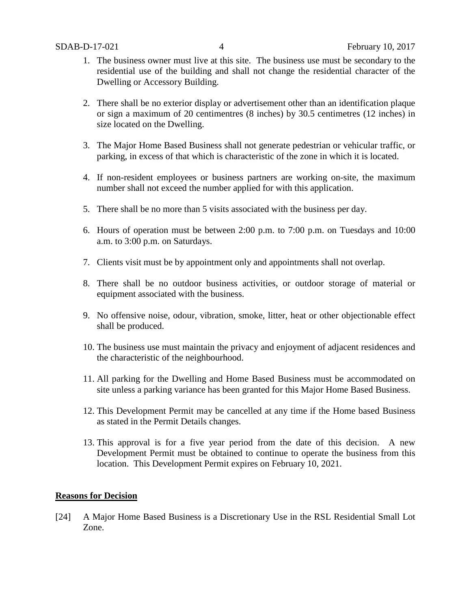- 1. The business owner must live at this site. The business use must be secondary to the residential use of the building and shall not change the residential character of the Dwelling or Accessory Building.
- 2. There shall be no exterior display or advertisement other than an identification plaque or sign a maximum of 20 centimentres (8 inches) by 30.5 centimetres (12 inches) in size located on the Dwelling.
- 3. The Major Home Based Business shall not generate pedestrian or vehicular traffic, or parking, in excess of that which is characteristic of the zone in which it is located.
- 4. If non-resident employees or business partners are working on-site, the maximum number shall not exceed the number applied for with this application.
- 5. There shall be no more than 5 visits associated with the business per day.
- 6. Hours of operation must be between 2:00 p.m. to 7:00 p.m. on Tuesdays and 10:00 a.m. to 3:00 p.m. on Saturdays.
- 7. Clients visit must be by appointment only and appointments shall not overlap.
- 8. There shall be no outdoor business activities, or outdoor storage of material or equipment associated with the business.
- 9. No offensive noise, odour, vibration, smoke, litter, heat or other objectionable effect shall be produced.
- 10. The business use must maintain the privacy and enjoyment of adjacent residences and the characteristic of the neighbourhood.
- 11. All parking for the Dwelling and Home Based Business must be accommodated on site unless a parking variance has been granted for this Major Home Based Business.
- 12. This Development Permit may be cancelled at any time if the Home based Business as stated in the Permit Details changes.
- 13. This approval is for a five year period from the date of this decision. A new Development Permit must be obtained to continue to operate the business from this location. This Development Permit expires on February 10, 2021.

## **Reasons for Decision**

[24] A Major Home Based Business is a Discretionary Use in the RSL Residential Small Lot Zone.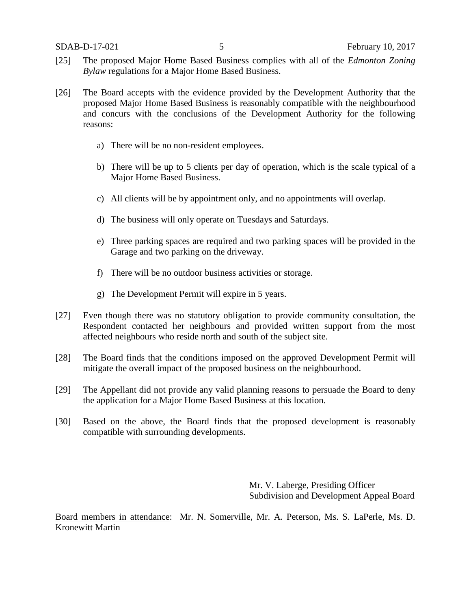- [25] The proposed Major Home Based Business complies with all of the *Edmonton Zoning Bylaw* regulations for a Major Home Based Business.
- [26] The Board accepts with the evidence provided by the Development Authority that the proposed Major Home Based Business is reasonably compatible with the neighbourhood and concurs with the conclusions of the Development Authority for the following reasons:
	- a) There will be no non-resident employees.
	- b) There will be up to 5 clients per day of operation, which is the scale typical of a Major Home Based Business.
	- c) All clients will be by appointment only, and no appointments will overlap.
	- d) The business will only operate on Tuesdays and Saturdays.
	- e) Three parking spaces are required and two parking spaces will be provided in the Garage and two parking on the driveway.
	- f) There will be no outdoor business activities or storage.
	- g) The Development Permit will expire in 5 years.
- [27] Even though there was no statutory obligation to provide community consultation, the Respondent contacted her neighbours and provided written support from the most affected neighbours who reside north and south of the subject site.
- [28] The Board finds that the conditions imposed on the approved Development Permit will mitigate the overall impact of the proposed business on the neighbourhood.
- [29] The Appellant did not provide any valid planning reasons to persuade the Board to deny the application for a Major Home Based Business at this location.
- [30] Based on the above, the Board finds that the proposed development is reasonably compatible with surrounding developments.

Mr. V. Laberge, Presiding Officer Subdivision and Development Appeal Board

Board members in attendance: Mr. N. Somerville, Mr. A. Peterson, Ms. S. LaPerle, Ms. D. Kronewitt Martin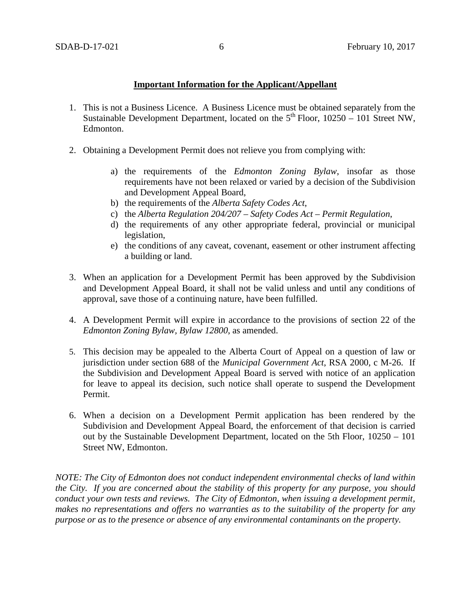## **Important Information for the Applicant/Appellant**

- 1. This is not a Business Licence. A Business Licence must be obtained separately from the Sustainable Development Department, located on the  $5<sup>th</sup>$  Floor, 10250 – 101 Street NW, Edmonton.
- 2. Obtaining a Development Permit does not relieve you from complying with:
	- a) the requirements of the *Edmonton Zoning Bylaw*, insofar as those requirements have not been relaxed or varied by a decision of the Subdivision and Development Appeal Board,
	- b) the requirements of the *Alberta Safety Codes Act*,
	- c) the *Alberta Regulation 204/207 – Safety Codes Act – Permit Regulation*,
	- d) the requirements of any other appropriate federal, provincial or municipal legislation,
	- e) the conditions of any caveat, covenant, easement or other instrument affecting a building or land.
- 3. When an application for a Development Permit has been approved by the Subdivision and Development Appeal Board, it shall not be valid unless and until any conditions of approval, save those of a continuing nature, have been fulfilled.
- 4. A Development Permit will expire in accordance to the provisions of section 22 of the *Edmonton Zoning Bylaw, Bylaw 12800*, as amended.
- 5. This decision may be appealed to the Alberta Court of Appeal on a question of law or jurisdiction under section 688 of the *Municipal Government Act*, RSA 2000, c M-26. If the Subdivision and Development Appeal Board is served with notice of an application for leave to appeal its decision, such notice shall operate to suspend the Development Permit.
- 6. When a decision on a Development Permit application has been rendered by the Subdivision and Development Appeal Board, the enforcement of that decision is carried out by the Sustainable Development Department, located on the 5th Floor, 10250 – 101 Street NW, Edmonton.

*NOTE: The City of Edmonton does not conduct independent environmental checks of land within the City. If you are concerned about the stability of this property for any purpose, you should conduct your own tests and reviews. The City of Edmonton, when issuing a development permit, makes no representations and offers no warranties as to the suitability of the property for any purpose or as to the presence or absence of any environmental contaminants on the property.*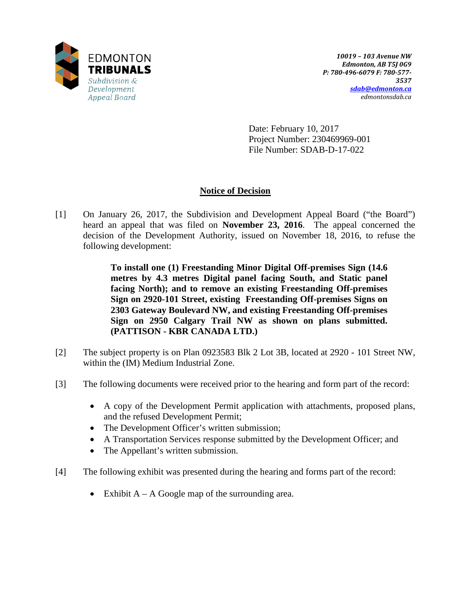

Date: February 10, 2017 Project Number: 230469969-001 File Number: SDAB-D-17-022

# **Notice of Decision**

[1] On January 26, 2017, the Subdivision and Development Appeal Board ("the Board") heard an appeal that was filed on **November 23, 2016**. The appeal concerned the decision of the Development Authority, issued on November 18, 2016, to refuse the following development:

> **To install one (1) Freestanding Minor Digital Off-premises Sign (14.6 metres by 4.3 metres Digital panel facing South, and Static panel facing North); and to remove an existing Freestanding Off-premises Sign on 2920-101 Street, existing Freestanding Off-premises Signs on 2303 Gateway Boulevard NW, and existing Freestanding Off-premises Sign on 2950 Calgary Trail NW as shown on plans submitted. (PATTISON - KBR CANADA LTD.)**

- [2] The subject property is on Plan 0923583 Blk 2 Lot 3B, located at 2920 101 Street NW, within the (IM) Medium Industrial Zone.
- [3] The following documents were received prior to the hearing and form part of the record:
	- A copy of the Development Permit application with attachments, proposed plans, and the refused Development Permit;
	- The Development Officer's written submission;
	- A Transportation Services response submitted by the Development Officer; and
	- The Appellant's written submission.
- [4] The following exhibit was presented during the hearing and forms part of the record:
	- Exhibit  $A A$  Google map of the surrounding area.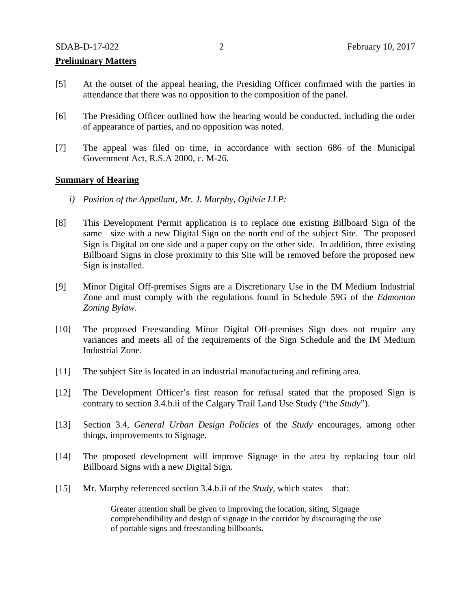## **Preliminary Matters**

- [5] At the outset of the appeal hearing, the Presiding Officer confirmed with the parties in attendance that there was no opposition to the composition of the panel.
- [6] The Presiding Officer outlined how the hearing would be conducted, including the order of appearance of parties, and no opposition was noted.
- [7] The appeal was filed on time, in accordance with section 686 of the Municipal Government Act, R.S.A 2000, c. M-26.

### **Summary of Hearing**

- *i) Position of the Appellant, Mr. J. Murphy, Ogilvie LLP:*
- [8] This Development Permit application is to replace one existing Billboard Sign of the same size with a new Digital Sign on the north end of the subject Site. The proposed Sign is Digital on one side and a paper copy on the other side. In addition, three existing Billboard Signs in close proximity to this Site will be removed before the proposed new Sign is installed.
- [9] Minor Digital Off-premises Signs are a Discretionary Use in the IM Medium Industrial Zone and must comply with the regulations found in Schedule 59G of the *Edmonton Zoning Bylaw*.
- [10] The proposed Freestanding Minor Digital Off-premises Sign does not require any variances and meets all of the requirements of the Sign Schedule and the IM Medium Industrial Zone.
- [11] The subject Site is located in an industrial manufacturing and refining area.
- [12] The Development Officer's first reason for refusal stated that the proposed Sign is contrary to section 3.4.b.ii of the Calgary Trail Land Use Study ("the *Study*").
- [13] Section 3.4, *General Urban Design Policies* of the *Study* encourages, among other things, improvements to Signage.
- [14] The proposed development will improve Signage in the area by replacing four old Billboard Signs with a new Digital Sign.
- [15] Mr. Murphy referenced section 3.4.b.ii of the *Study*, which states that:

Greater attention shall be given to improving the location, siting, Signage comprehendibility and design of signage in the corridor by discouraging the use of portable signs and freestanding billboards.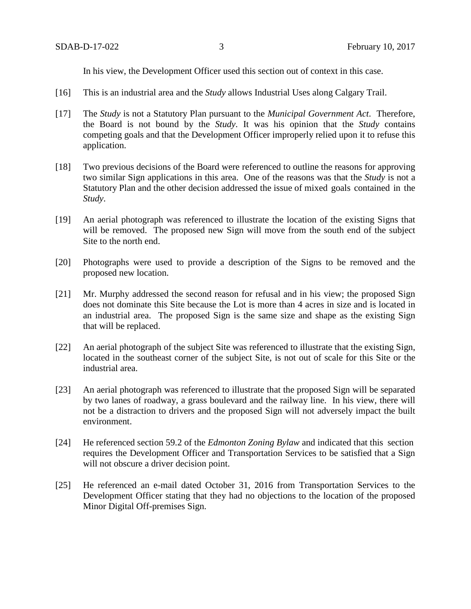In his view, the Development Officer used this section out of context in this case.

- [16] This is an industrial area and the *Study* allows Industrial Uses along Calgary Trail.
- [17] The *Study* is not a Statutory Plan pursuant to the *Municipal Government Act*. Therefore, the Board is not bound by the *Study*. It was his opinion that the *Study* contains competing goals and that the Development Officer improperly relied upon it to refuse this application.
- [18] Two previous decisions of the Board were referenced to outline the reasons for approving two similar Sign applications in this area. One of the reasons was that the *Study* is not a Statutory Plan and the other decision addressed the issue of mixed goals contained in the *Study*.
- [19] An aerial photograph was referenced to illustrate the location of the existing Signs that will be removed. The proposed new Sign will move from the south end of the subject Site to the north end.
- [20] Photographs were used to provide a description of the Signs to be removed and the proposed new location.
- [21] Mr. Murphy addressed the second reason for refusal and in his view; the proposed Sign does not dominate this Site because the Lot is more than 4 acres in size and is located in an industrial area. The proposed Sign is the same size and shape as the existing Sign that will be replaced.
- [22] An aerial photograph of the subject Site was referenced to illustrate that the existing Sign, located in the southeast corner of the subject Site, is not out of scale for this Site or the industrial area.
- [23] An aerial photograph was referenced to illustrate that the proposed Sign will be separated by two lanes of roadway, a grass boulevard and the railway line. In his view, there will not be a distraction to drivers and the proposed Sign will not adversely impact the built environment.
- [24] He referenced section 59.2 of the *Edmonton Zoning Bylaw* and indicated that this section requires the Development Officer and Transportation Services to be satisfied that a Sign will not obscure a driver decision point.
- [25] He referenced an e-mail dated October 31, 2016 from Transportation Services to the Development Officer stating that they had no objections to the location of the proposed Minor Digital Off-premises Sign.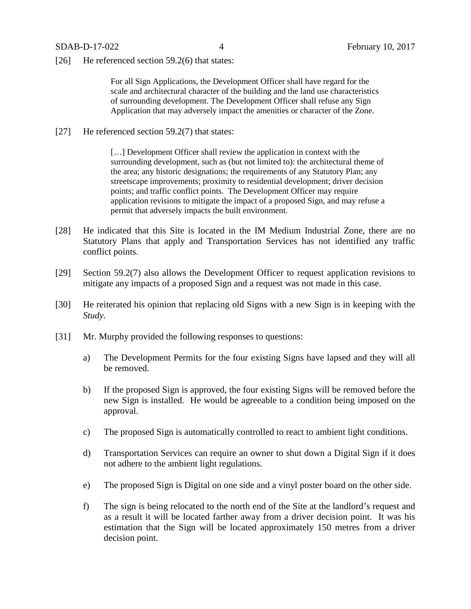[26] He referenced section 59.2(6) that states:

For all Sign Applications, the Development Officer shall have regard for the scale and architectural character of the building and the land use characteristics of surrounding development. The Development Officer shall refuse any Sign Application that may adversely impact the amenities or character of the Zone.

[27] He referenced section 59.2(7) that states:

[...] Development Officer shall review the application in context with the surrounding development, such as (but not limited to): the architectural theme of the area; any historic designations; the requirements of any Statutory Plan; any streetscape improvements; proximity to residential development; driver decision points; and traffic conflict points. The Development Officer may require application revisions to mitigate the impact of a proposed Sign, and may refuse a permit that adversely impacts the built environment.

- [28] He indicated that this Site is located in the IM Medium Industrial Zone, there are no Statutory Plans that apply and Transportation Services has not identified any traffic conflict points.
- [29] Section 59.2(7) also allows the Development Officer to request application revisions to mitigate any impacts of a proposed Sign and a request was not made in this case.
- [30] He reiterated his opinion that replacing old Signs with a new Sign is in keeping with the *Study*.
- [31] Mr. Murphy provided the following responses to questions:
	- a) The Development Permits for the four existing Signs have lapsed and they will all be removed.
	- b) If the proposed Sign is approved, the four existing Signs will be removed before the new Sign is installed. He would be agreeable to a condition being imposed on the approval.
	- c) The proposed Sign is automatically controlled to react to ambient light conditions.
	- d) Transportation Services can require an owner to shut down a Digital Sign if it does not adhere to the ambient light regulations.
	- e) The proposed Sign is Digital on one side and a vinyl poster board on the other side.
	- f) The sign is being relocated to the north end of the Site at the landlord's request and as a result it will be located farther away from a driver decision point. It was his estimation that the Sign will be located approximately 150 metres from a driver decision point.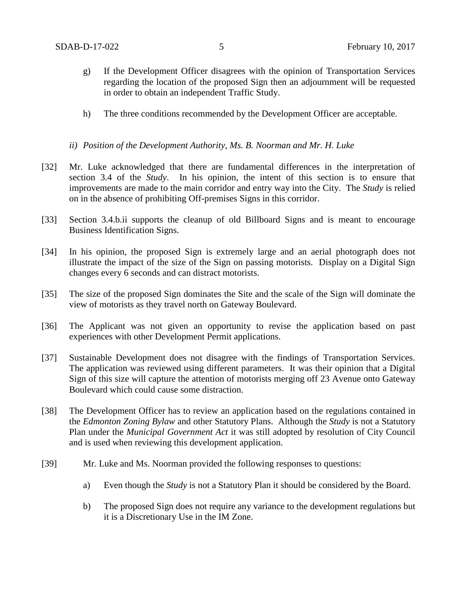- g) If the Development Officer disagrees with the opinion of Transportation Services regarding the location of the proposed Sign then an adjournment will be requested in order to obtain an independent Traffic Study.
- h) The three conditions recommended by the Development Officer are acceptable.

## *ii) Position of the Development Authority, Ms. B. Noorman and Mr. H. Luke*

- [32] Mr. Luke acknowledged that there are fundamental differences in the interpretation of section 3.4 of the *Study*. In his opinion, the intent of this section is to ensure that improvements are made to the main corridor and entry way into the City. The *Study* is relied on in the absence of prohibiting Off-premises Signs in this corridor.
- [33] Section 3.4.b.ii supports the cleanup of old Billboard Signs and is meant to encourage Business Identification Signs.
- [34] In his opinion, the proposed Sign is extremely large and an aerial photograph does not illustrate the impact of the size of the Sign on passing motorists. Display on a Digital Sign changes every 6 seconds and can distract motorists.
- [35] The size of the proposed Sign dominates the Site and the scale of the Sign will dominate the view of motorists as they travel north on Gateway Boulevard.
- [36] The Applicant was not given an opportunity to revise the application based on past experiences with other Development Permit applications.
- [37] Sustainable Development does not disagree with the findings of Transportation Services. The application was reviewed using different parameters. It was their opinion that a Digital Sign of this size will capture the attention of motorists merging off 23 Avenue onto Gateway Boulevard which could cause some distraction.
- [38] The Development Officer has to review an application based on the regulations contained in the *Edmonton Zoning Bylaw* and other Statutory Plans. Although the *Study* is not a Statutory Plan under the *Municipal Government Act* it was still adopted by resolution of City Council and is used when reviewing this development application.
- [39] Mr. Luke and Ms. Noorman provided the following responses to questions:
	- a) Even though the *Study* is not a Statutory Plan it should be considered by the Board.
	- b) The proposed Sign does not require any variance to the development regulations but it is a Discretionary Use in the IM Zone.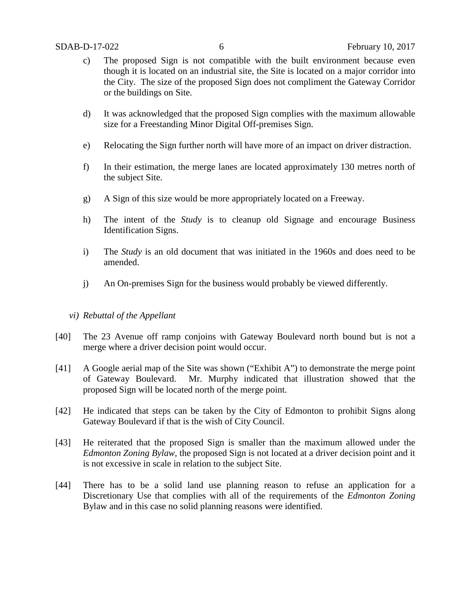- c) The proposed Sign is not compatible with the built environment because even though it is located on an industrial site, the Site is located on a major corridor into the City. The size of the proposed Sign does not compliment the Gateway Corridor or the buildings on Site.
- d) It was acknowledged that the proposed Sign complies with the maximum allowable size for a Freestanding Minor Digital Off-premises Sign.
- e) Relocating the Sign further north will have more of an impact on driver distraction.
- f) In their estimation, the merge lanes are located approximately 130 metres north of the subject Site.
- g) A Sign of this size would be more appropriately located on a Freeway.
- h) The intent of the *Study* is to cleanup old Signage and encourage Business Identification Signs.
- i) The *Study* is an old document that was initiated in the 1960s and does need to be amended.
- j) An On-premises Sign for the business would probably be viewed differently.

## *vi) Rebuttal of the Appellant*

- [40] The 23 Avenue off ramp conjoins with Gateway Boulevard north bound but is not a merge where a driver decision point would occur.
- [41] A Google aerial map of the Site was shown ("Exhibit A") to demonstrate the merge point of Gateway Boulevard. Mr. Murphy indicated that illustration showed that the proposed Sign will be located north of the merge point.
- [42] He indicated that steps can be taken by the City of Edmonton to prohibit Signs along Gateway Boulevard if that is the wish of City Council.
- [43] He reiterated that the proposed Sign is smaller than the maximum allowed under the *Edmonton Zoning Bylaw*, the proposed Sign is not located at a driver decision point and it is not excessive in scale in relation to the subject Site.
- [44] There has to be a solid land use planning reason to refuse an application for a Discretionary Use that complies with all of the requirements of the *Edmonton Zoning*  Bylaw and in this case no solid planning reasons were identified.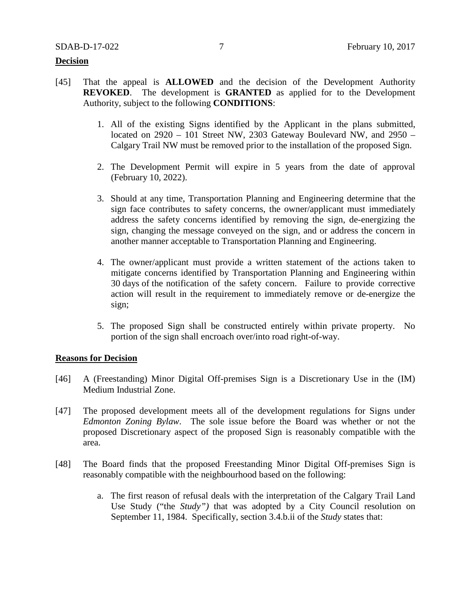### **Decision**

- [45] That the appeal is **ALLOWED** and the decision of the Development Authority **REVOKED**. The development is **GRANTED** as applied for to the Development Authority, subject to the following **CONDITIONS**:
	- 1. All of the existing Signs identified by the Applicant in the plans submitted, located on 2920 – 101 Street NW, 2303 Gateway Boulevard NW, and 2950 – Calgary Trail NW must be removed prior to the installation of the proposed Sign.
	- 2. The Development Permit will expire in 5 years from the date of approval (February 10, 2022).
	- 3. Should at any time, Transportation Planning and Engineering determine that the sign face contributes to safety concerns, the owner/applicant must immediately address the safety concerns identified by removing the sign, de-energizing the sign, changing the message conveyed on the sign, and or address the concern in another manner acceptable to Transportation Planning and Engineering.
	- 4. The owner/applicant must provide a written statement of the actions taken to mitigate concerns identified by Transportation Planning and Engineering within 30 days of the notification of the safety concern. Failure to provide corrective action will result in the requirement to immediately remove or de-energize the sign;
	- 5. The proposed Sign shall be constructed entirely within private property. No portion of the sign shall encroach over/into road right-of-way.

### **Reasons for Decision**

- [46] A (Freestanding) Minor Digital Off-premises Sign is a Discretionary Use in the (IM) Medium Industrial Zone.
- [47] The proposed development meets all of the development regulations for Signs under *Edmonton Zoning Bylaw*. The sole issue before the Board was whether or not the proposed Discretionary aspect of the proposed Sign is reasonably compatible with the area.
- [48] The Board finds that the proposed Freestanding Minor Digital Off-premises Sign is reasonably compatible with the neighbourhood based on the following:
	- a. The first reason of refusal deals with the interpretation of the Calgary Trail Land Use Study ("the *Study")* that was adopted by a City Council resolution on September 11, 1984. Specifically, section 3.4.b.ii of the *Study* states that: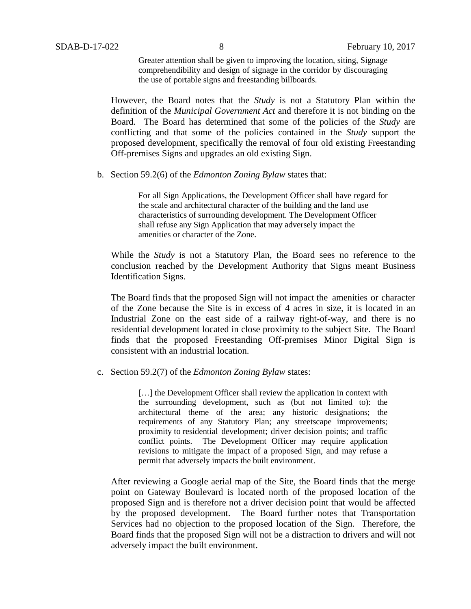Greater attention shall be given to improving the location, siting, Signage comprehendibility and design of signage in the corridor by discouraging the use of portable signs and freestanding billboards.

However, the Board notes that the *Study* is not a Statutory Plan within the definition of the *Municipal Government Act* and therefore it is not binding on the Board. The Board has determined that some of the policies of the *Study* are conflicting and that some of the policies contained in the *Study* support the proposed development, specifically the removal of four old existing Freestanding Off-premises Signs and upgrades an old existing Sign.

b. Section 59.2(6) of the *Edmonton Zoning Bylaw* states that:

For all Sign Applications, the Development Officer shall have regard for the scale and architectural character of the building and the land use characteristics of surrounding development. The Development Officer shall refuse any Sign Application that may adversely impact the amenities or character of the Zone.

While the *Study* is not a Statutory Plan, the Board sees no reference to the conclusion reached by the Development Authority that Signs meant Business Identification Signs.

The Board finds that the proposed Sign will not impact the amenities or character of the Zone because the Site is in excess of 4 acres in size, it is located in an Industrial Zone on the east side of a railway right-of-way, and there is no residential development located in close proximity to the subject Site. The Board finds that the proposed Freestanding Off-premises Minor Digital Sign is consistent with an industrial location.

c. Section 59.2(7) of the *Edmonton Zoning Bylaw* states:

[...] the Development Officer shall review the application in context with the surrounding development, such as (but not limited to): the architectural theme of the area; any historic designations; the requirements of any Statutory Plan; any streetscape improvements; proximity to residential development; driver decision points; and traffic conflict points. The Development Officer may require application revisions to mitigate the impact of a proposed Sign, and may refuse a permit that adversely impacts the built environment.

After reviewing a Google aerial map of the Site, the Board finds that the merge point on Gateway Boulevard is located north of the proposed location of the proposed Sign and is therefore not a driver decision point that would be affected by the proposed development. The Board further notes that Transportation Services had no objection to the proposed location of the Sign. Therefore, the Board finds that the proposed Sign will not be a distraction to drivers and will not adversely impact the built environment.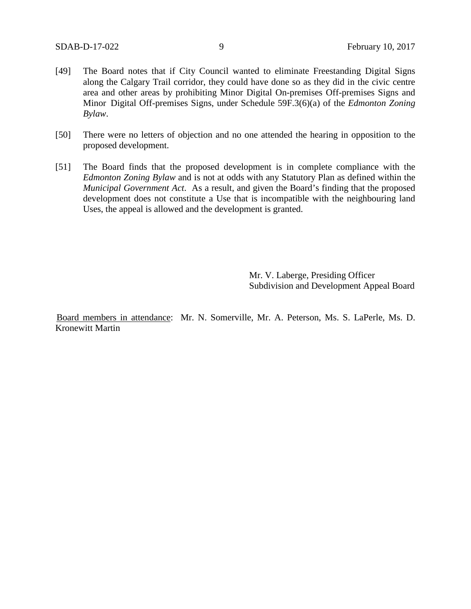- [49] The Board notes that if City Council wanted to eliminate Freestanding Digital Signs along the Calgary Trail corridor, they could have done so as they did in the civic centre area and other areas by prohibiting Minor Digital On-premises Off-premises Signs and Minor Digital Off-premises Signs, under Schedule 59F.3(6)(a) of the *Edmonton Zoning Bylaw*.
- [50] There were no letters of objection and no one attended the hearing in opposition to the proposed development.
- [51] The Board finds that the proposed development is in complete compliance with the *Edmonton Zoning Bylaw* and is not at odds with any Statutory Plan as defined within the *Municipal Government Act*. As a result, and given the Board's finding that the proposed development does not constitute a Use that is incompatible with the neighbouring land Uses, the appeal is allowed and the development is granted.

Mr. V. Laberge, Presiding Officer Subdivision and Development Appeal Board

Board members in attendance: Mr. N. Somerville, Mr. A. Peterson, Ms. S. LaPerle, Ms. D. Kronewitt Martin